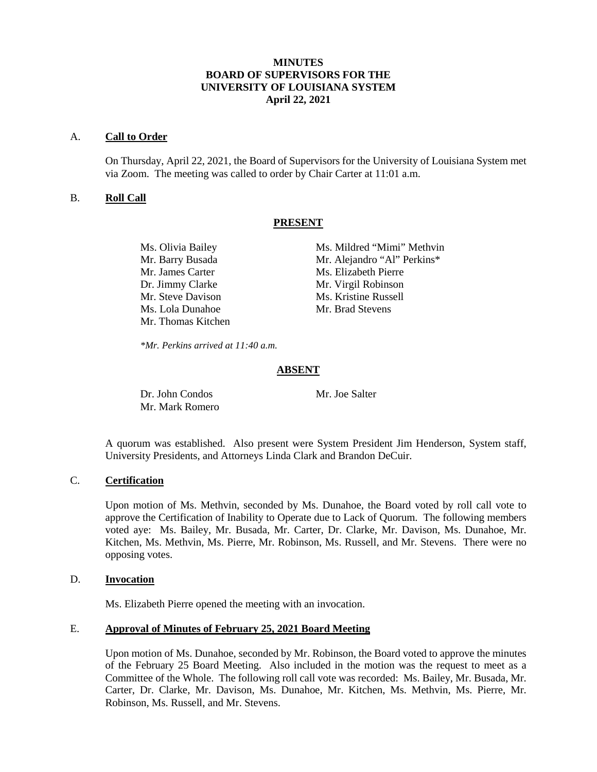# **MINUTES BOARD OF SUPERVISORS FOR THE UNIVERSITY OF LOUISIANA SYSTEM April 22, 2021**

### A. **Call to Order**

On Thursday, April 22, 2021, the Board of Supervisors for the University of Louisiana System met via Zoom. The meeting was called to order by Chair Carter at 11:01 a.m.

# B. **Roll Call**

#### **PRESENT**

| Ms. Olivia Bailey  | Ms. Mildred "Mimi" Methvin  |
|--------------------|-----------------------------|
| Mr. Barry Busada   | Mr. Alejandro "Al" Perkins* |
| Mr. James Carter   | Ms. Elizabeth Pierre        |
| Dr. Jimmy Clarke   | Mr. Virgil Robinson         |
| Mr. Steve Davison  | Ms. Kristine Russell        |
| Ms. Lola Dunahoe   | Mr. Brad Stevens            |
| Mr. Thomas Kitchen |                             |

*\*Mr. Perkins arrived at 11:40 a.m.*

# **ABSENT**

Dr. John Condos Mr. Joe Salter Mr. Mark Romero

A quorum was established. Also present were System President Jim Henderson, System staff, University Presidents, and Attorneys Linda Clark and Brandon DeCuir.

## C. **Certification**

Upon motion of Ms. Methvin, seconded by Ms. Dunahoe, the Board voted by roll call vote to approve the Certification of Inability to Operate due to Lack of Quorum. The following members voted aye: Ms. Bailey, Mr. Busada, Mr. Carter, Dr. Clarke, Mr. Davison, Ms. Dunahoe, Mr. Kitchen, Ms. Methvin, Ms. Pierre, Mr. Robinson, Ms. Russell, and Mr. Stevens. There were no opposing votes.

### D. **Invocation**

Ms. Elizabeth Pierre opened the meeting with an invocation.

# E. **Approval of Minutes of February 25, 2021 Board Meeting**

Upon motion of Ms. Dunahoe, seconded by Mr. Robinson, the Board voted to approve the minutes of the February 25 Board Meeting. Also included in the motion was the request to meet as a Committee of the Whole. The following roll call vote was recorded: Ms. Bailey, Mr. Busada, Mr. Carter, Dr. Clarke, Mr. Davison, Ms. Dunahoe, Mr. Kitchen, Ms. Methvin, Ms. Pierre, Mr. Robinson, Ms. Russell, and Mr. Stevens.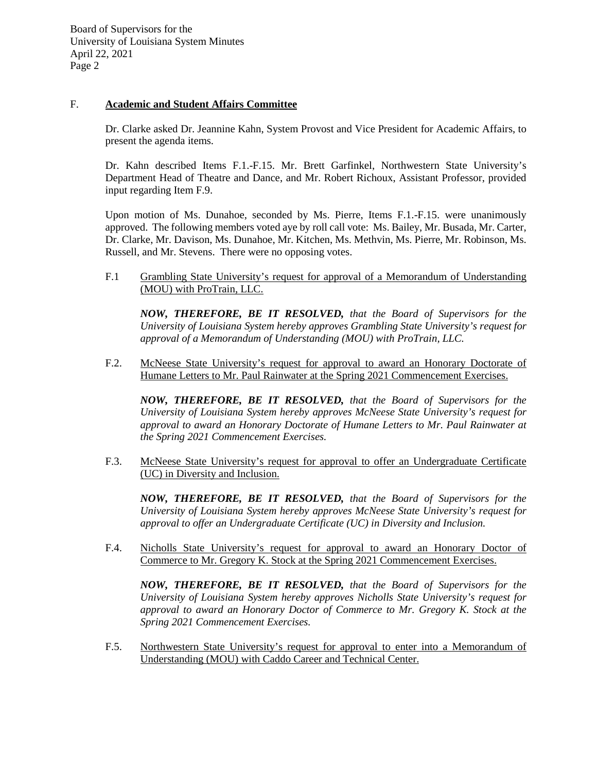## F. **Academic and Student Affairs Committee**

Dr. Clarke asked Dr. Jeannine Kahn, System Provost and Vice President for Academic Affairs, to present the agenda items.

Dr. Kahn described Items F.1.-F.15. Mr. Brett Garfinkel, Northwestern State University's Department Head of Theatre and Dance, and Mr. Robert Richoux, Assistant Professor, provided input regarding Item F.9.

Upon motion of Ms. Dunahoe, seconded by Ms. Pierre, Items F.1.-F.15. were unanimously approved. The following members voted aye by roll call vote: Ms. Bailey, Mr. Busada, Mr. Carter, Dr. Clarke, Mr. Davison, Ms. Dunahoe, Mr. Kitchen, Ms. Methvin, Ms. Pierre, Mr. Robinson, Ms. Russell, and Mr. Stevens. There were no opposing votes.

F.1 Grambling State University's request for approval of a Memorandum of Understanding (MOU) with ProTrain, LLC.

*NOW, THEREFORE, BE IT RESOLVED, that the Board of Supervisors for the University of Louisiana System hereby approves Grambling State University's request for approval of a Memorandum of Understanding (MOU) with ProTrain, LLC.*

F.2. McNeese State University's request for approval to award an Honorary Doctorate of Humane Letters to Mr. Paul Rainwater at the Spring 2021 Commencement Exercises.

*NOW, THEREFORE, BE IT RESOLVED, that the Board of Supervisors for the University of Louisiana System hereby approves McNeese State University's request for approval to award an Honorary Doctorate of Humane Letters to Mr. Paul Rainwater at the Spring 2021 Commencement Exercises.*

F.3. McNeese State University's request for approval to offer an Undergraduate Certificate (UC) in Diversity and Inclusion.

*NOW, THEREFORE, BE IT RESOLVED, that the Board of Supervisors for the University of Louisiana System hereby approves McNeese State University's request for approval to offer an Undergraduate Certificate (UC) in Diversity and Inclusion.*

F.4. Nicholls State University's request for approval to award an Honorary Doctor of Commerce to Mr. Gregory K. Stock at the Spring 2021 Commencement Exercises.

*NOW, THEREFORE, BE IT RESOLVED, that the Board of Supervisors for the University of Louisiana System hereby approves Nicholls State University's request for approval to award an Honorary Doctor of Commerce to Mr. Gregory K. Stock at the Spring 2021 Commencement Exercises.*

F.5. Northwestern State University's request for approval to enter into a Memorandum of Understanding (MOU) with Caddo Career and Technical Center.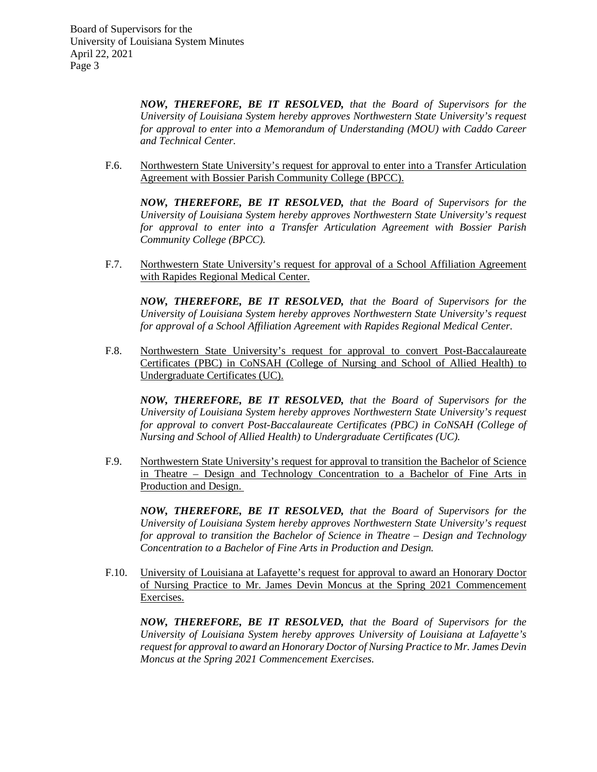*NOW, THEREFORE, BE IT RESOLVED, that the Board of Supervisors for the University of Louisiana System hereby approves Northwestern State University's request for approval to enter into a Memorandum of Understanding (MOU) with Caddo Career and Technical Center.*

F.6. Northwestern State University's request for approval to enter into a Transfer Articulation Agreement with Bossier Parish Community College (BPCC).

*NOW, THEREFORE, BE IT RESOLVED, that the Board of Supervisors for the University of Louisiana System hereby approves Northwestern State University's request for approval to enter into a Transfer Articulation Agreement with Bossier Parish Community College (BPCC).*

F.7. Northwestern State University's request for approval of a School Affiliation Agreement with Rapides Regional Medical Center.

*NOW, THEREFORE, BE IT RESOLVED, that the Board of Supervisors for the University of Louisiana System hereby approves Northwestern State University's request for approval of a School Affiliation Agreement with Rapides Regional Medical Center.*

F.8. Northwestern State University's request for approval to convert Post-Baccalaureate Certificates (PBC) in CoNSAH (College of Nursing and School of Allied Health) to Undergraduate Certificates (UC).

*NOW, THEREFORE, BE IT RESOLVED, that the Board of Supervisors for the University of Louisiana System hereby approves Northwestern State University's request for approval to convert Post-Baccalaureate Certificates (PBC) in CoNSAH (College of Nursing and School of Allied Health) to Undergraduate Certificates (UC).*

F.9. Northwestern State University's request for approval to transition the Bachelor of Science in Theatre – Design and Technology Concentration to a Bachelor of Fine Arts in Production and Design.

*NOW, THEREFORE, BE IT RESOLVED, that the Board of Supervisors for the University of Louisiana System hereby approves Northwestern State University's request for approval to transition the Bachelor of Science in Theatre – Design and Technology Concentration to a Bachelor of Fine Arts in Production and Design.*

F.10. University of Louisiana at Lafayette's request for approval to award an Honorary Doctor of Nursing Practice to Mr. James Devin Moncus at the Spring 2021 Commencement Exercises.

*NOW, THEREFORE, BE IT RESOLVED, that the Board of Supervisors for the University of Louisiana System hereby approves University of Louisiana at Lafayette's request for approval to award an Honorary Doctor of Nursing Practice to Mr. James Devin Moncus at the Spring 2021 Commencement Exercises.*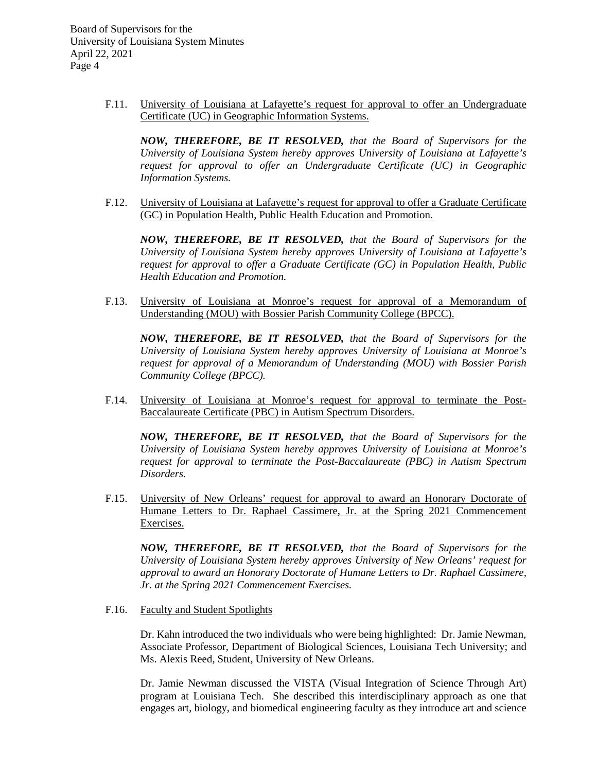> F.11. University of Louisiana at Lafayette's request for approval to offer an Undergraduate Certificate (UC) in Geographic Information Systems.

*NOW, THEREFORE, BE IT RESOLVED, that the Board of Supervisors for the University of Louisiana System hereby approves University of Louisiana at Lafayette's request for approval to offer an Undergraduate Certificate (UC) in Geographic Information Systems.*

F.12. University of Louisiana at Lafayette's request for approval to offer a Graduate Certificate (GC) in Population Health, Public Health Education and Promotion.

*NOW, THEREFORE, BE IT RESOLVED, that the Board of Supervisors for the University of Louisiana System hereby approves University of Louisiana at Lafayette's request for approval to offer a Graduate Certificate (GC) in Population Health, Public Health Education and Promotion.*

F.13. University of Louisiana at Monroe's request for approval of a Memorandum of Understanding (MOU) with Bossier Parish Community College (BPCC).

*NOW, THEREFORE, BE IT RESOLVED, that the Board of Supervisors for the University of Louisiana System hereby approves University of Louisiana at Monroe's request for approval of a Memorandum of Understanding (MOU) with Bossier Parish Community College (BPCC).*

F.14. University of Louisiana at Monroe's request for approval to terminate the Post-Baccalaureate Certificate (PBC) in Autism Spectrum Disorders.

*NOW, THEREFORE, BE IT RESOLVED, that the Board of Supervisors for the University of Louisiana System hereby approves University of Louisiana at Monroe's request for approval to terminate the Post-Baccalaureate (PBC) in Autism Spectrum Disorders.*

F.15. University of New Orleans' request for approval to award an Honorary Doctorate of Humane Letters to Dr. Raphael Cassimere, Jr. at the Spring 2021 Commencement Exercises.

*NOW, THEREFORE, BE IT RESOLVED, that the Board of Supervisors for the University of Louisiana System hereby approves University of New Orleans' request for approval to award an Honorary Doctorate of Humane Letters to Dr. Raphael Cassimere, Jr. at the Spring 2021 Commencement Exercises.*

F.16. Faculty and Student Spotlights

Dr. Kahn introduced the two individuals who were being highlighted: Dr. Jamie Newman, Associate Professor, Department of Biological Sciences, Louisiana Tech University; and Ms. Alexis Reed, Student, University of New Orleans.

Dr. Jamie Newman discussed the VISTA (Visual Integration of Science Through Art) program at Louisiana Tech. She described this interdisciplinary approach as one that engages art, biology, and biomedical engineering faculty as they introduce art and science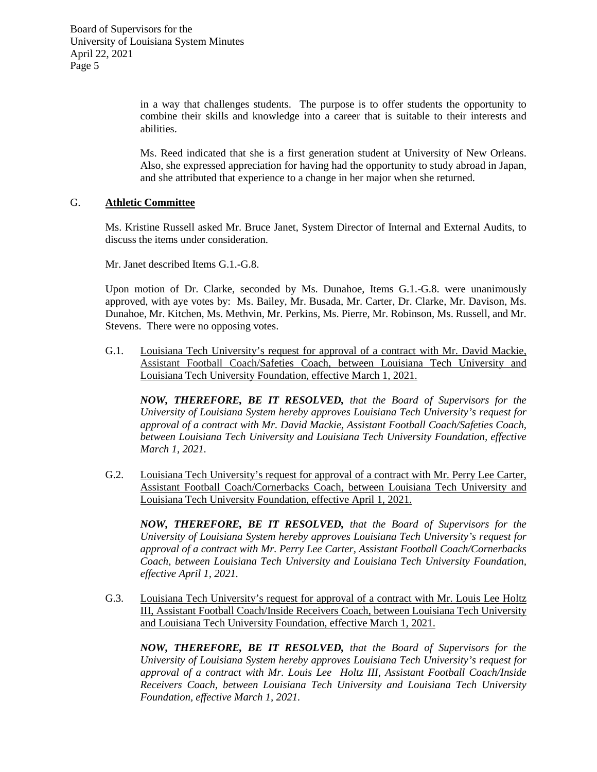> in a way that challenges students. The purpose is to offer students the opportunity to combine their skills and knowledge into a career that is suitable to their interests and abilities.

> Ms. Reed indicated that she is a first generation student at University of New Orleans. Also, she expressed appreciation for having had the opportunity to study abroad in Japan, and she attributed that experience to a change in her major when she returned.

### G. **Athletic Committee**

Ms. Kristine Russell asked Mr. Bruce Janet, System Director of Internal and External Audits, to discuss the items under consideration.

Mr. Janet described Items G.1.-G.8.

Upon motion of Dr. Clarke, seconded by Ms. Dunahoe, Items G.1.-G.8. were unanimously approved, with aye votes by: Ms. Bailey, Mr. Busada, Mr. Carter, Dr. Clarke, Mr. Davison, Ms. Dunahoe, Mr. Kitchen, Ms. Methvin, Mr. Perkins, Ms. Pierre, Mr. Robinson, Ms. Russell, and Mr. Stevens. There were no opposing votes.

G.1. Louisiana Tech University's request for approval of a contract with Mr. David Mackie, Assistant Football Coach/Safeties Coach, between Louisiana Tech University and Louisiana Tech University Foundation, effective March 1, 2021.

*NOW, THEREFORE, BE IT RESOLVED, that the Board of Supervisors for the University of Louisiana System hereby approves Louisiana Tech University's request for approval of a contract with Mr. David Mackie, Assistant Football Coach/Safeties Coach, between Louisiana Tech University and Louisiana Tech University Foundation, effective March 1, 2021.*

G.2. Louisiana Tech University's request for approval of a contract with Mr. Perry Lee Carter, Assistant Football Coach/Cornerbacks Coach, between Louisiana Tech University and Louisiana Tech University Foundation, effective April 1, 2021.

*NOW, THEREFORE, BE IT RESOLVED, that the Board of Supervisors for the University of Louisiana System hereby approves Louisiana Tech University's request for approval of a contract with Mr. Perry Lee Carter, Assistant Football Coach/Cornerbacks Coach, between Louisiana Tech University and Louisiana Tech University Foundation, effective April 1, 2021.*

G.3. Louisiana Tech University's request for approval of a contract with Mr. Louis Lee Holtz III, Assistant Football Coach/Inside Receivers Coach, between Louisiana Tech University and Louisiana Tech University Foundation, effective March 1, 2021.

*NOW, THEREFORE, BE IT RESOLVED, that the Board of Supervisors for the University of Louisiana System hereby approves Louisiana Tech University's request for approval of a contract with Mr. Louis Lee Holtz III, Assistant Football Coach/Inside Receivers Coach, between Louisiana Tech University and Louisiana Tech University Foundation, effective March 1, 2021.*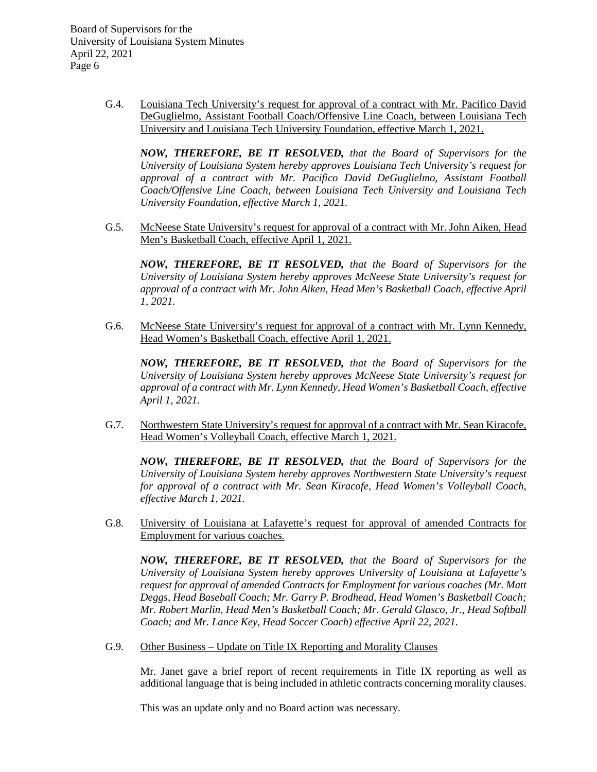> G.4. Louisiana Tech University's request for approval of a contract with Mr. Pacifico David DeGuglielmo, Assistant Football Coach/Offensive Line Coach, between Louisiana Tech University and Louisiana Tech University Foundation, effective March 1, 2021.

*NOW, THEREFORE, BE IT RESOLVED, that the Board of Supervisors for the University of Louisiana System hereby approves Louisiana Tech University's request for approval of a contract with Mr. Pacifico David DeGuglielmo, Assistant Football Coach/Offensive Line Coach, between Louisiana Tech University and Louisiana Tech University Foundation, effective March 1, 2021.*

G.5. McNeese State University's request for approval of a contract with Mr. John Aiken, Head Men's Basketball Coach, effective April 1, 2021.

*NOW, THEREFORE, BE IT RESOLVED, that the Board of Supervisors for the University of Louisiana System hereby approves McNeese State University's request for approval of a contract with Mr. John Aiken, Head Men's Basketball Coach, effective April 1, 2021.*

G.6. McNeese State University's request for approval of a contract with Mr. Lynn Kennedy, Head Women's Basketball Coach, effective April 1, 2021.

*NOW, THEREFORE, BE IT RESOLVED, that the Board of Supervisors for the University of Louisiana System hereby approves McNeese State University's request for approval of a contract with Mr. Lynn Kennedy, Head Women's Basketball Coach, effective April 1, 2021.*

G.7. Northwestern State University's request for approval of a contract with Mr. Sean Kiracofe, Head Women's Volleyball Coach, effective March 1, 2021.

*NOW, THEREFORE, BE IT RESOLVED, that the Board of Supervisors for the University of Louisiana System hereby approves Northwestern State University's request for approval of a contract with Mr. Sean Kiracofe, Head Women's Volleyball Coach, effective March 1, 2021.*

G.8. University of Louisiana at Lafayette's request for approval of amended Contracts for Employment for various coaches.

*NOW, THEREFORE, BE IT RESOLVED, that the Board of Supervisors for the University of Louisiana System hereby approves University of Louisiana at Lafayette's request for approval of amended Contracts for Employment for various coaches (Mr. Matt Deggs, Head Baseball Coach; Mr. Garry P. Brodhead, Head Women's Basketball Coach; Mr. Robert Marlin, Head Men's Basketball Coach; Mr. Gerald Glasco, Jr., Head Softball Coach; and Mr. Lance Key, Head Soccer Coach) effective April 22, 2021.* 

G.9. Other Business – Update on Title IX Reporting and Morality Clauses

Mr. Janet gave a brief report of recent requirements in Title IX reporting as well as additional language that is being included in athletic contracts concerning morality clauses.

This was an update only and no Board action was necessary.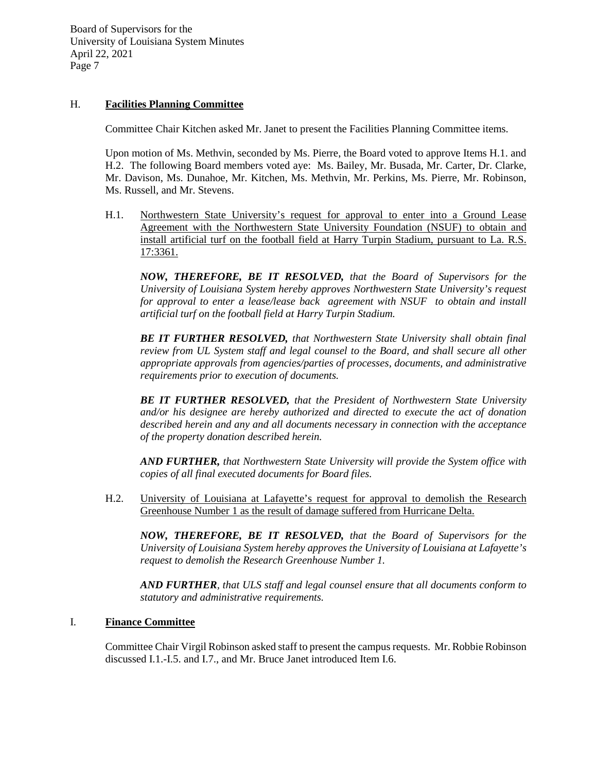# H. **Facilities Planning Committee**

Committee Chair Kitchen asked Mr. Janet to present the Facilities Planning Committee items.

Upon motion of Ms. Methvin, seconded by Ms. Pierre, the Board voted to approve Items H.1. and H.2. The following Board members voted aye: Ms. Bailey, Mr. Busada, Mr. Carter, Dr. Clarke, Mr. Davison, Ms. Dunahoe, Mr. Kitchen, Ms. Methvin, Mr. Perkins, Ms. Pierre, Mr. Robinson, Ms. Russell, and Mr. Stevens.

H.1. Northwestern State University's request for approval to enter into a Ground Lease Agreement with the Northwestern State University Foundation (NSUF) to obtain and install artificial turf on the football field at Harry Turpin Stadium, pursuant to La. R.S. 17:3361.

*NOW, THEREFORE, BE IT RESOLVED, that the Board of Supervisors for the University of Louisiana System hereby approves Northwestern State University's request for approval to enter a lease/lease back agreement with NSUF to obtain and install artificial turf on the football field at Harry Turpin Stadium.* 

*BE IT FURTHER RESOLVED, that Northwestern State University shall obtain final review from UL System staff and legal counsel to the Board, and shall secure all other appropriate approvals from agencies/parties of processes, documents, and administrative requirements prior to execution of documents.*

*BE IT FURTHER RESOLVED, that the President of Northwestern State University and/or his designee are hereby authorized and directed to execute the act of donation described herein and any and all documents necessary in connection with the acceptance of the property donation described herein.*

*AND FURTHER, that Northwestern State University will provide the System office with copies of all final executed documents for Board files.*

H.2. University of Louisiana at Lafayette's request for approval to demolish the Research Greenhouse Number 1 as the result of damage suffered from Hurricane Delta.

*NOW, THEREFORE, BE IT RESOLVED, that the Board of Supervisors for the University of Louisiana System hereby approves the University of Louisiana at Lafayette's request to demolish the Research Greenhouse Number 1.*

*AND FURTHER, that ULS staff and legal counsel ensure that all documents conform to statutory and administrative requirements.*

#### I. **Finance Committee**

Committee Chair Virgil Robinson asked staff to present the campus requests. Mr. Robbie Robinson discussed I.1.-I.5. and I.7., and Mr. Bruce Janet introduced Item I.6.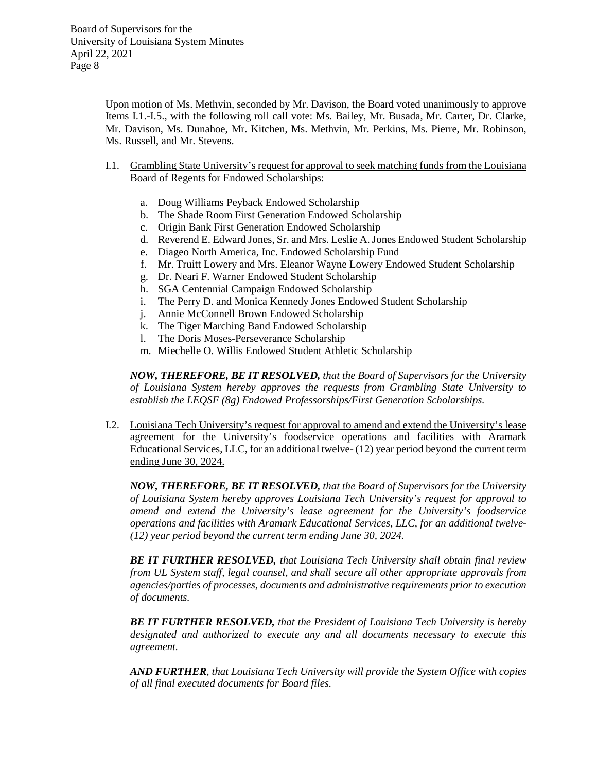Upon motion of Ms. Methvin, seconded by Mr. Davison, the Board voted unanimously to approve Items I.1.-I.5., with the following roll call vote: Ms. Bailey, Mr. Busada, Mr. Carter, Dr. Clarke, Mr. Davison, Ms. Dunahoe, Mr. Kitchen, Ms. Methvin, Mr. Perkins, Ms. Pierre, Mr. Robinson, Ms. Russell, and Mr. Stevens.

- I.1. Grambling State University's request for approval to seek matching funds from the Louisiana Board of Regents for Endowed Scholarships:
	- a. Doug Williams Peyback Endowed Scholarship
	- b. The Shade Room First Generation Endowed Scholarship
	- c. Origin Bank First Generation Endowed Scholarship
	- d. Reverend E. Edward Jones, Sr. and Mrs. Leslie A. Jones Endowed Student Scholarship
	- e. Diageo North America, Inc. Endowed Scholarship Fund
	- f. Mr. Truitt Lowery and Mrs. Eleanor Wayne Lowery Endowed Student Scholarship
	- g. Dr. Neari F. Warner Endowed Student Scholarship
	- h. SGA Centennial Campaign Endowed Scholarship
	- i. The Perry D. and Monica Kennedy Jones Endowed Student Scholarship
	- j. Annie McConnell Brown Endowed Scholarship
	- k. The Tiger Marching Band Endowed Scholarship
	- l. The Doris Moses-Perseverance Scholarship
	- m. Miechelle O. Willis Endowed Student Athletic Scholarship

*NOW, THEREFORE, BE IT RESOLVED, that the Board of Supervisors for the University of Louisiana System hereby approves the requests from Grambling State University to establish the LEQSF (8g) Endowed Professorships/First Generation Scholarships.*

I.2. Louisiana Tech University's request for approval to amend and extend the University's lease agreement for the University's foodservice operations and facilities with Aramark Educational Services, LLC, for an additional twelve- (12) year period beyond the current term ending June 30, 2024.

*NOW, THEREFORE, BE IT RESOLVED, that the Board of Supervisors for the University of Louisiana System hereby approves Louisiana Tech University's request for approval to amend and extend the University's lease agreement for the University's foodservice operations and facilities with Aramark Educational Services, LLC, for an additional twelve- (12) year period beyond the current term ending June 30, 2024.*

*BE IT FURTHER RESOLVED, that Louisiana Tech University shall obtain final review from UL System staff, legal counsel, and shall secure all other appropriate approvals from agencies/parties of processes, documents and administrative requirements prior to execution of documents.*

*BE IT FURTHER RESOLVED, that the President of Louisiana Tech University is hereby designated and authorized to execute any and all documents necessary to execute this agreement.*

*AND FURTHER, that Louisiana Tech University will provide the System Office with copies of all final executed documents for Board files.*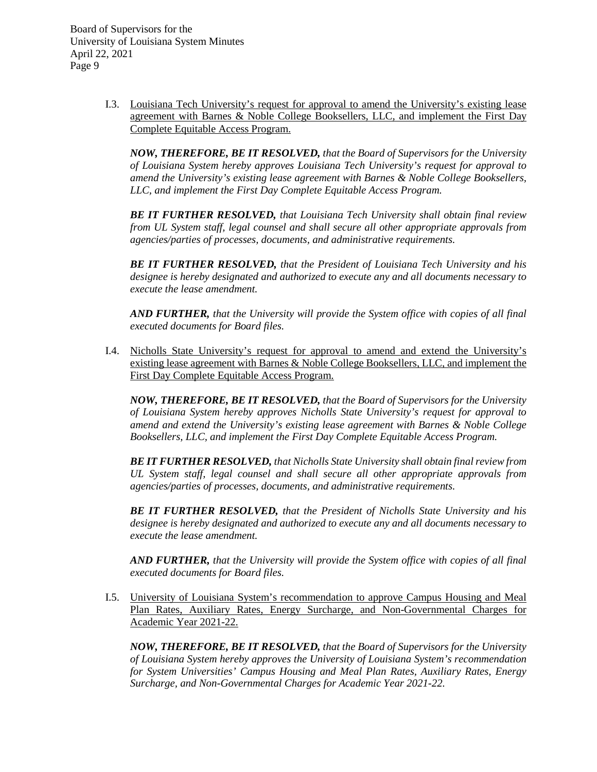> I.3. Louisiana Tech University's request for approval to amend the University's existing lease agreement with Barnes & Noble College Booksellers, LLC, and implement the First Day Complete Equitable Access Program.

*NOW, THEREFORE, BE IT RESOLVED, that the Board of Supervisors for the University of Louisiana System hereby approves Louisiana Tech University's request for approval to amend the University's existing lease agreement with Barnes & Noble College Booksellers, LLC, and implement the First Day Complete Equitable Access Program.*

*BE IT FURTHER RESOLVED, that Louisiana Tech University shall obtain final review from UL System staff, legal counsel and shall secure all other appropriate approvals from agencies/parties of processes, documents, and administrative requirements.*

*BE IT FURTHER RESOLVED, that the President of Louisiana Tech University and his designee is hereby designated and authorized to execute any and all documents necessary to execute the lease amendment.*

*AND FURTHER, that the University will provide the System office with copies of all final executed documents for Board files.*

I.4. Nicholls State University's request for approval to amend and extend the University's existing lease agreement with Barnes & Noble College Booksellers, LLC, and implement the First Day Complete Equitable Access Program.

*NOW, THEREFORE, BE IT RESOLVED, that the Board of Supervisors for the University of Louisiana System hereby approves Nicholls State University's request for approval to amend and extend the University's existing lease agreement with Barnes & Noble College Booksellers, LLC, and implement the First Day Complete Equitable Access Program.*

*BE IT FURTHER RESOLVED, that Nicholls State University shall obtain final review from UL System staff, legal counsel and shall secure all other appropriate approvals from agencies/parties of processes, documents, and administrative requirements.*

*BE IT FURTHER RESOLVED, that the President of Nicholls State University and his designee is hereby designated and authorized to execute any and all documents necessary to execute the lease amendment.*

*AND FURTHER, that the University will provide the System office with copies of all final executed documents for Board files.*

I.5. University of Louisiana System's recommendation to approve Campus Housing and Meal Plan Rates, Auxiliary Rates, Energy Surcharge, and Non-Governmental Charges for Academic Year 2021-22.

*NOW, THEREFORE, BE IT RESOLVED, that the Board of Supervisors for the University of Louisiana System hereby approves the University of Louisiana System's recommendation for System Universities' Campus Housing and Meal Plan Rates, Auxiliary Rates, Energy Surcharge, and Non-Governmental Charges for Academic Year 2021-22.*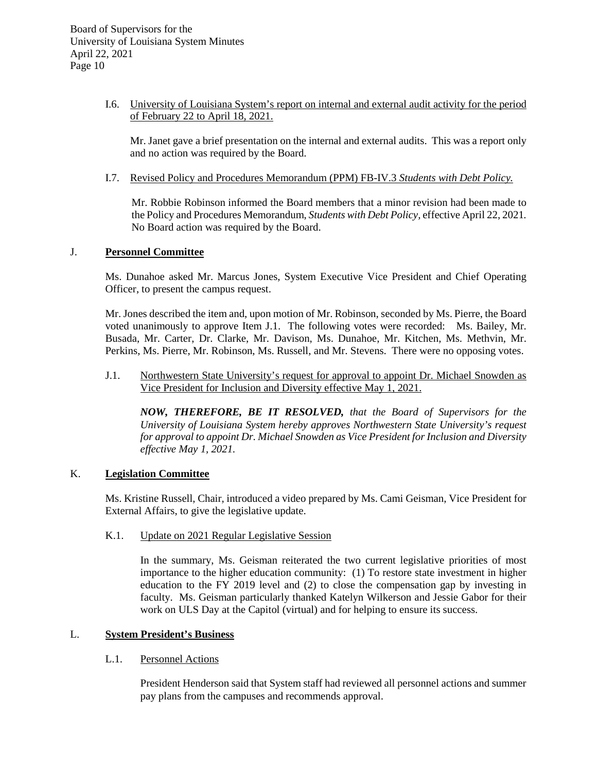# I.6. University of Louisiana System's report on internal and external audit activity for the period of February 22 to April 18, 2021.

Mr. Janet gave a brief presentation on the internal and external audits. This was a report only and no action was required by the Board.

I.7. Revised Policy and Procedures Memorandum (PPM) FB-IV.3 *Students with Debt Policy.*

Mr. Robbie Robinson informed the Board members that a minor revision had been made to the Policy and Procedures Memorandum, *Students with Debt Policy,* effective April 22, 2021*.* No Board action was required by the Board.

## J. **Personnel Committee**

Ms. Dunahoe asked Mr. Marcus Jones, System Executive Vice President and Chief Operating Officer, to present the campus request.

Mr. Jones described the item and, upon motion of Mr. Robinson, seconded by Ms. Pierre, the Board voted unanimously to approve Item J.1. The following votes were recorded: Ms. Bailey, Mr. Busada, Mr. Carter, Dr. Clarke, Mr. Davison, Ms. Dunahoe, Mr. Kitchen, Ms. Methvin, Mr. Perkins, Ms. Pierre, Mr. Robinson, Ms. Russell, and Mr. Stevens. There were no opposing votes.

J.1. Northwestern State University's request for approval to appoint Dr. Michael Snowden as Vice President for Inclusion and Diversity effective May 1, 2021.

*NOW, THEREFORE, BE IT RESOLVED, that the Board of Supervisors for the University of Louisiana System hereby approves Northwestern State University's request for approval to appoint Dr. Michael Snowden as Vice President for Inclusion and Diversity effective May 1, 2021.*

# K. **Legislation Committee**

Ms. Kristine Russell, Chair, introduced a video prepared by Ms. Cami Geisman, Vice President for External Affairs, to give the legislative update.

K.1. Update on 2021 Regular Legislative Session

In the summary, Ms. Geisman reiterated the two current legislative priorities of most importance to the higher education community: (1) To restore state investment in higher education to the FY 2019 level and (2) to close the compensation gap by investing in faculty. Ms. Geisman particularly thanked Katelyn Wilkerson and Jessie Gabor for their work on ULS Day at the Capitol (virtual) and for helping to ensure its success.

# L. **System President's Business**

#### L.1. Personnel Actions

President Henderson said that System staff had reviewed all personnel actions and summer pay plans from the campuses and recommends approval.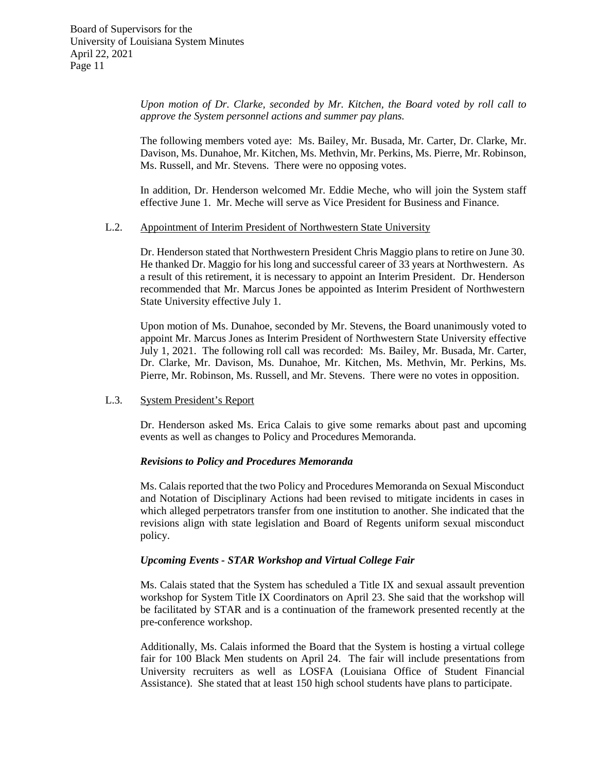*Upon motion of Dr. Clarke, seconded by Mr. Kitchen, the Board voted by roll call to approve the System personnel actions and summer pay plans.*

The following members voted aye: Ms. Bailey, Mr. Busada, Mr. Carter, Dr. Clarke, Mr. Davison, Ms. Dunahoe, Mr. Kitchen, Ms. Methvin, Mr. Perkins, Ms. Pierre, Mr. Robinson, Ms. Russell, and Mr. Stevens. There were no opposing votes.

In addition, Dr. Henderson welcomed Mr. Eddie Meche, who will join the System staff effective June 1. Mr. Meche will serve as Vice President for Business and Finance.

### L.2. Appointment of Interim President of Northwestern State University

Dr. Henderson stated that Northwestern President Chris Maggio plans to retire on June 30. He thanked Dr. Maggio for his long and successful career of 33 years at Northwestern. As a result of this retirement, it is necessary to appoint an Interim President. Dr. Henderson recommended that Mr. Marcus Jones be appointed as Interim President of Northwestern State University effective July 1.

Upon motion of Ms. Dunahoe, seconded by Mr. Stevens, the Board unanimously voted to appoint Mr. Marcus Jones as Interim President of Northwestern State University effective July 1, 2021. The following roll call was recorded: Ms. Bailey, Mr. Busada, Mr. Carter, Dr. Clarke, Mr. Davison, Ms. Dunahoe, Mr. Kitchen, Ms. Methvin, Mr. Perkins, Ms. Pierre, Mr. Robinson, Ms. Russell, and Mr. Stevens. There were no votes in opposition.

#### L.3. System President's Report

Dr. Henderson asked Ms. Erica Calais to give some remarks about past and upcoming events as well as changes to Policy and Procedures Memoranda.

#### *Revisions to Policy and Procedures Memoranda*

Ms. Calais reported that the two Policy and Procedures Memoranda on Sexual Misconduct and Notation of Disciplinary Actions had been revised to mitigate incidents in cases in which alleged perpetrators transfer from one institution to another. She indicated that the revisions align with state legislation and Board of Regents uniform sexual misconduct policy.

# *Upcoming Events - STAR Workshop and Virtual College Fair*

Ms. Calais stated that the System has scheduled a Title IX and sexual assault prevention workshop for System Title IX Coordinators on April 23. She said that the workshop will be facilitated by STAR and is a continuation of the framework presented recently at the pre-conference workshop.

Additionally, Ms. Calais informed the Board that the System is hosting a virtual college fair for 100 Black Men students on April 24. The fair will include presentations from University recruiters as well as LOSFA (Louisiana Office of Student Financial Assistance). She stated that at least 150 high school students have plans to participate.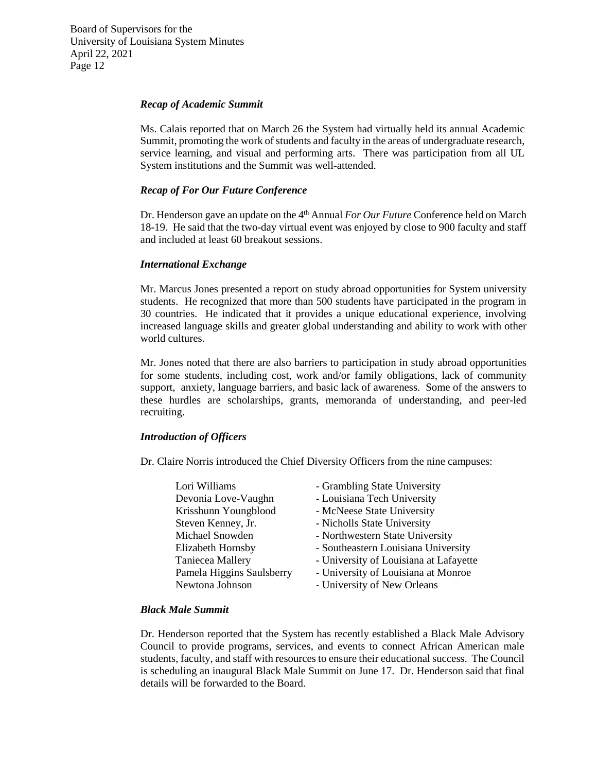#### *Recap of Academic Summit*

Ms. Calais reported that on March 26 the System had virtually held its annual Academic Summit, promoting the work of students and faculty in the areas of undergraduate research, service learning, and visual and performing arts. There was participation from all UL System institutions and the Summit was well-attended.

# *Recap of For Our Future Conference*

Dr. Henderson gave an update on the 4<sup>th</sup> Annual *For Our Future* Conference held on March 18-19. He said that the two-day virtual event was enjoyed by close to 900 faculty and staff and included at least 60 breakout sessions.

# *International Exchange*

Mr. Marcus Jones presented a report on study abroad opportunities for System university students. He recognized that more than 500 students have participated in the program in 30 countries. He indicated that it provides a unique educational experience, involving increased language skills and greater global understanding and ability to work with other world cultures.

Mr. Jones noted that there are also barriers to participation in study abroad opportunities for some students, including cost, work and/or family obligations, lack of community support, anxiety, language barriers, and basic lack of awareness. Some of the answers to these hurdles are scholarships, grants, memoranda of understanding, and peer-led recruiting.

# *Introduction of Officers*

Dr. Claire Norris introduced the Chief Diversity Officers from the nine campuses:

| Lori Williams             | - Grambling State University           |
|---------------------------|----------------------------------------|
| Devonia Love-Vaughn       | - Louisiana Tech University            |
| Krisshunn Youngblood      | - McNeese State University             |
| Steven Kenney, Jr.        | - Nicholls State University            |
| Michael Snowden           | - Northwestern State University        |
| Elizabeth Hornsby         | - Southeastern Louisiana University    |
| Taniecea Mallery          | - University of Louisiana at Lafayette |
| Pamela Higgins Saulsberry | - University of Louisiana at Monroe    |
| Newtona Johnson           | - University of New Orleans            |

# *Black Male Summit*

Dr. Henderson reported that the System has recently established a Black Male Advisory Council to provide programs, services, and events to connect African American male students, faculty, and staff with resources to ensure their educational success. The Council is scheduling an inaugural Black Male Summit on June 17. Dr. Henderson said that final details will be forwarded to the Board.